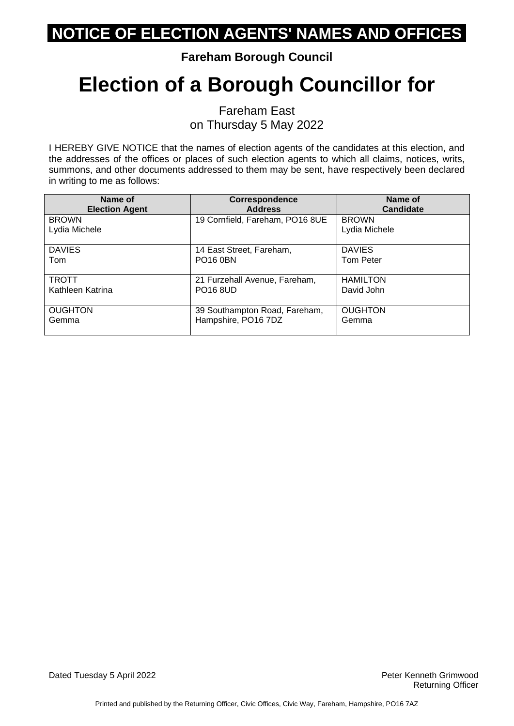### **Fareham Borough Council**

# **Election of a Borough Councillor for**

Fareham East on Thursday 5 May 2022

I HEREBY GIVE NOTICE that the names of election agents of the candidates at this election, and the addresses of the offices or places of such election agents to which all claims, notices, writs, summons, and other documents addressed to them may be sent, have respectively been declared in writing to me as follows:

| Name of                       | <b>Correspondence</b>           | Name of                       |
|-------------------------------|---------------------------------|-------------------------------|
| <b>Election Agent</b>         | <b>Address</b>                  | Candidate                     |
| <b>BROWN</b><br>Lydia Michele | 19 Cornfield, Fareham, PO16 8UE | <b>BROWN</b><br>Lydia Michele |
| <b>DAVIES</b>                 | 14 East Street, Fareham,        | <b>DAVIES</b>                 |
| Tom                           | <b>PO16 0BN</b>                 | <b>Tom Peter</b>              |
| <b>TROTT</b>                  | 21 Furzehall Avenue, Fareham,   | <b>HAMILTON</b>               |
| Kathleen Katrina              | <b>PO16 8UD</b>                 | David John                    |
| <b>OUGHTON</b>                | 39 Southampton Road, Fareham,   | <b>OUGHTON</b>                |
| Gemma                         | Hampshire, PO16 7DZ             | Gemma                         |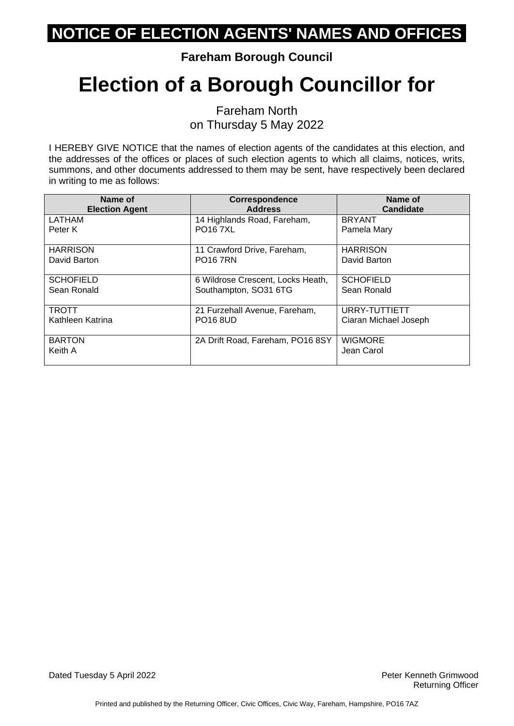**Fareham Borough Council**

# **Election of a Borough Councillor for**

Fareham North on Thursday 5 May 2022

I HEREBY GIVE NOTICE that the names of election agents of the candidates at this election, and the addresses of the offices or places of such election agents to which all claims, notices, writs, summons, and other documents addressed to them may be sent, have respectively been declared in writing to me as follows:

| Name of<br><b>Election Agent</b> | <b>Correspondence</b><br><b>Address</b> | Name of<br><b>Candidate</b> |
|----------------------------------|-----------------------------------------|-----------------------------|
| LATHAM                           | 14 Highlands Road, Fareham,             | <b>BRYANT</b>               |
| Peter K                          | <b>PO167XL</b>                          | Pamela Mary                 |
| <b>HARRISON</b>                  | 11 Crawford Drive, Fareham,             | <b>HARRISON</b>             |
| David Barton                     | <b>PO16 7RN</b>                         | David Barton                |
| <b>SCHOFIELD</b>                 | 6 Wildrose Crescent, Locks Heath,       | <b>SCHOFIELD</b>            |
| Sean Ronald                      | Southampton, SO31 6TG                   | Sean Ronald                 |
| <b>TROTT</b>                     | 21 Furzehall Avenue, Fareham,           | URRY-TUTTIETT               |
| Kathleen Katrina                 | <b>PO16 8UD</b>                         | Ciaran Michael Joseph       |
| <b>BARTON</b>                    | 2A Drift Road, Fareham, PO16 8SY        | <b>WIGMORE</b>              |
| Keith A                          |                                         | Jean Carol                  |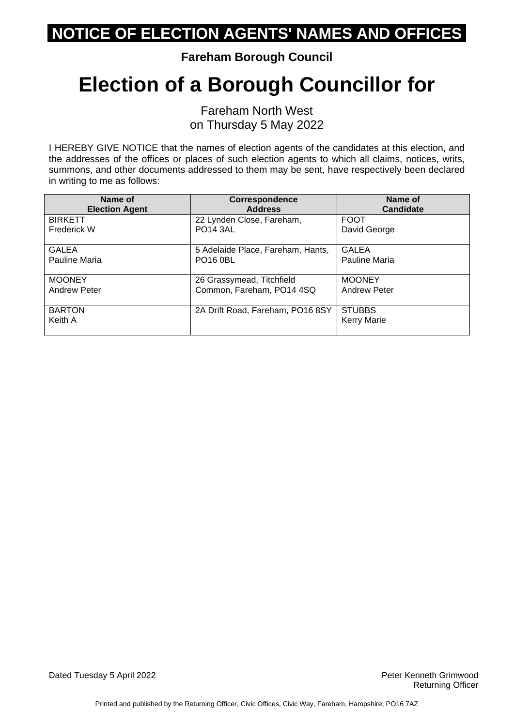**Fareham Borough Council**

## **Election of a Borough Councillor for**

Fareham North West on Thursday 5 May 2022

I HEREBY GIVE NOTICE that the names of election agents of the candidates at this election, and the addresses of the offices or places of such election agents to which all claims, notices, writs, summons, and other documents addressed to them may be sent, have respectively been declared in writing to me as follows:

| Name of                  | <b>Correspondence</b>             | Name of                             |
|--------------------------|-----------------------------------|-------------------------------------|
| <b>Election Agent</b>    | <b>Address</b>                    | <b>Candidate</b>                    |
| <b>BIRKETT</b>           | 22 Lynden Close, Fareham,         | <b>FOOT</b>                         |
| <b>Frederick W</b>       | <b>PO14 3AL</b>                   | David George                        |
| <b>GALEA</b>             | 5 Adelaide Place, Fareham, Hants, | <b>GALEA</b>                        |
| Pauline Maria            | <b>PO16 0BL</b>                   | Pauline Maria                       |
| <b>MOONEY</b>            | 26 Grassymead, Titchfield         | <b>MOONEY</b>                       |
| <b>Andrew Peter</b>      | Common, Fareham, PO14 4SQ         | <b>Andrew Peter</b>                 |
| <b>BARTON</b><br>Keith A | 2A Drift Road, Fareham, PO16 8SY  | <b>STUBBS</b><br><b>Kerry Marie</b> |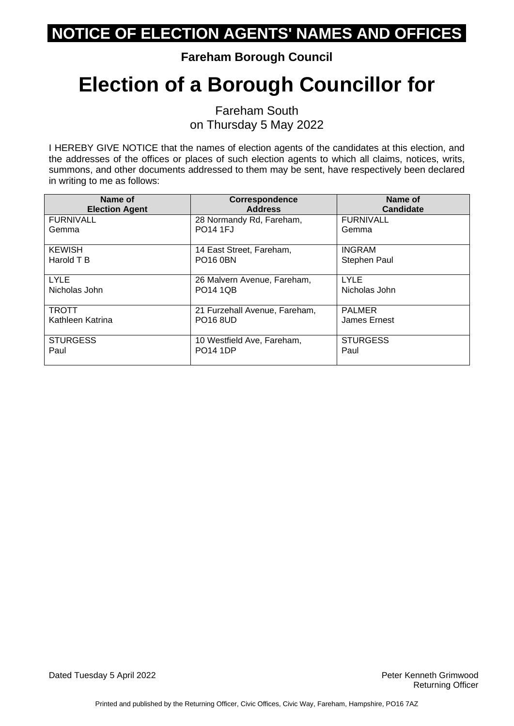**Fareham Borough Council**

# **Election of a Borough Councillor for**

Fareham South on Thursday 5 May 2022

I HEREBY GIVE NOTICE that the names of election agents of the candidates at this election, and the addresses of the offices or places of such election agents to which all claims, notices, writs, summons, and other documents addressed to them may be sent, have respectively been declared in writing to me as follows:

| Name of<br><b>Election Agent</b> | <b>Correspondence</b><br><b>Address</b> | Name of<br>Candidate |
|----------------------------------|-----------------------------------------|----------------------|
| <b>FURNIVALL</b>                 | 28 Normandy Rd, Fareham,                | <b>FURNIVALL</b>     |
| Gemma                            | <b>PO14 1FJ</b>                         | Gemma                |
| <b>KEWISH</b>                    | 14 East Street, Fareham,                | <b>INGRAM</b>        |
| Harold T B                       | <b>PO16 0BN</b>                         | Stephen Paul         |
| <b>LYLE</b>                      | 26 Malvern Avenue, Fareham,             | LYLE                 |
| Nicholas John                    | <b>PO14 1QB</b>                         | Nicholas John        |
| <b>TROTT</b>                     | 21 Furzehall Avenue, Fareham,           | <b>PALMER</b>        |
| Kathleen Katrina                 | <b>PO16 8UD</b>                         | James Ernest         |
| <b>STURGESS</b>                  | 10 Westfield Ave, Fareham,              | <b>STURGESS</b>      |
| Paul                             | <b>PO14 1DP</b>                         | Paul                 |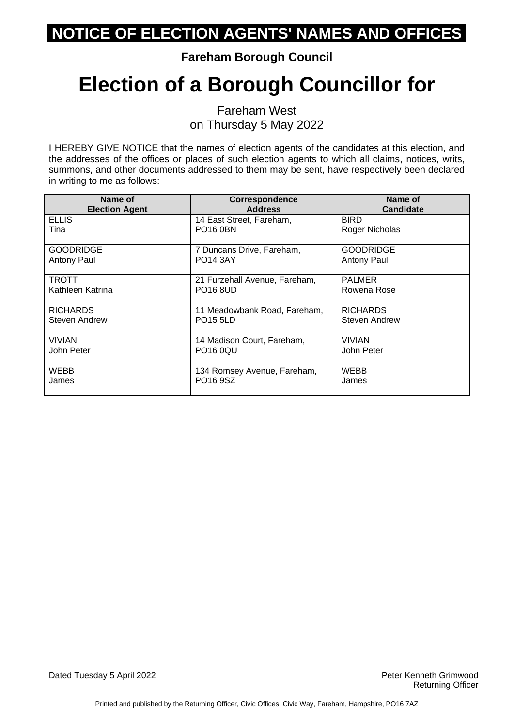**Fareham Borough Council**

# **Election of a Borough Councillor for**

Fareham West on Thursday 5 May 2022

I HEREBY GIVE NOTICE that the names of election agents of the candidates at this election, and the addresses of the offices or places of such election agents to which all claims, notices, writs, summons, and other documents addressed to them may be sent, have respectively been declared in writing to me as follows:

| Name of               | Correspondence                | Name of              |
|-----------------------|-------------------------------|----------------------|
| <b>Election Agent</b> | <b>Address</b>                | <b>Candidate</b>     |
| <b>ELLIS</b>          | 14 East Street, Fareham,      | <b>BIRD</b>          |
| Tina                  | <b>PO16 0BN</b>               | Roger Nicholas       |
|                       |                               |                      |
| <b>GOODRIDGE</b>      | 7 Duncans Drive, Fareham,     | <b>GOODRIDGE</b>     |
| Antony Paul           | <b>PO14 3AY</b>               | <b>Antony Paul</b>   |
|                       |                               |                      |
| TROTT                 | 21 Furzehall Avenue, Fareham, | <b>PALMER</b>        |
| Kathleen Katrina      | <b>PO16 8UD</b>               | Rowena Rose          |
|                       |                               |                      |
| <b>RICHARDS</b>       | 11 Meadowbank Road, Fareham,  | <b>RICHARDS</b>      |
| Steven Andrew         | <b>PO15 5LD</b>               | <b>Steven Andrew</b> |
|                       |                               |                      |
| <b>VIVIAN</b>         | 14 Madison Court, Fareham,    | <b>VIVIAN</b>        |
| John Peter            | <b>PO16 0QU</b>               | John Peter           |
|                       |                               |                      |
| WEBB                  | 134 Romsey Avenue, Fareham,   | WEBB                 |
| James                 | PO16 9SZ                      | James                |
|                       |                               |                      |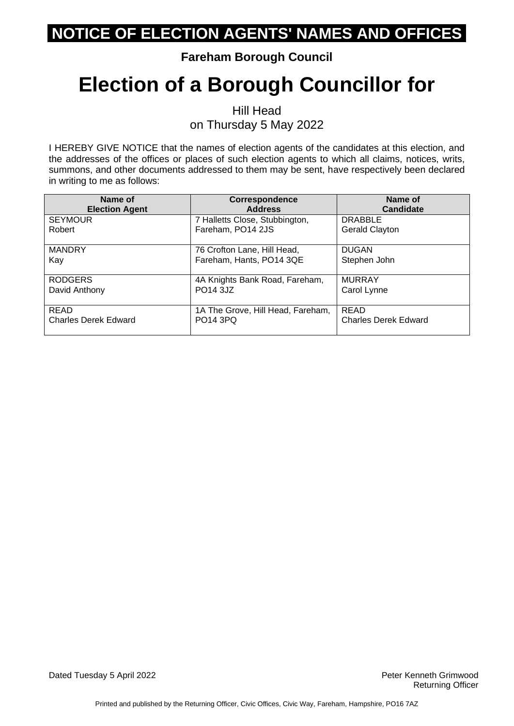### **Fareham Borough Council**

# **Election of a Borough Councillor for**

Hill Head on Thursday 5 May 2022

I HEREBY GIVE NOTICE that the names of election agents of the candidates at this election, and the addresses of the offices or places of such election agents to which all claims, notices, writs, summons, and other documents addressed to them may be sent, have respectively been declared in writing to me as follows:

| Name of<br><b>Election Agent</b> | <b>Correspondence</b><br><b>Address</b>             | Name of<br><b>Candidate</b>             |
|----------------------------------|-----------------------------------------------------|-----------------------------------------|
| <b>SEYMOUR</b><br>Robert         | 7 Halletts Close, Stubbington,<br>Fareham, PO14 2JS | <b>DRABBLE</b><br><b>Gerald Clayton</b> |
|                                  |                                                     |                                         |
| <b>MANDRY</b>                    | 76 Crofton Lane, Hill Head,                         | <b>DUGAN</b>                            |
| Kay                              | Fareham, Hants, PO14 3QE                            | Stephen John                            |
| <b>RODGERS</b>                   | 4A Knights Bank Road, Fareham,                      | <b>MURRAY</b>                           |
| David Anthony                    | PO <sub>14</sub> 3.JZ                               | Carol Lynne                             |
| <b>READ</b>                      | 1A The Grove, Hill Head, Fareham,                   | <b>READ</b>                             |
| <b>Charles Derek Edward</b>      | <b>PO14 3PQ</b>                                     | <b>Charles Derek Edward</b>             |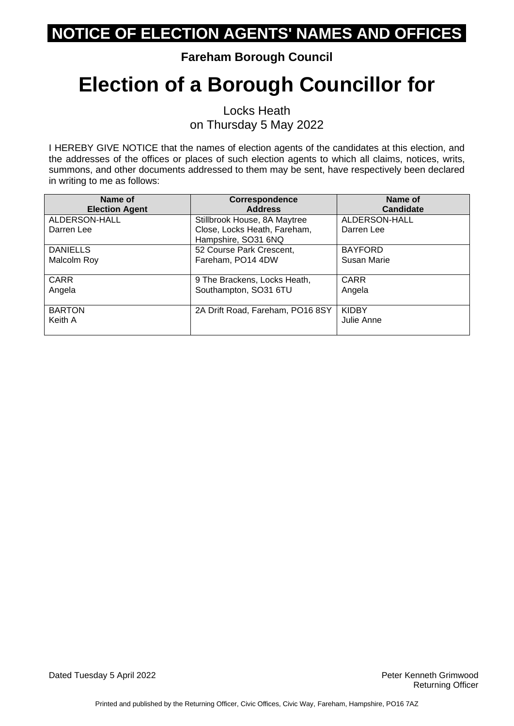### **Fareham Borough Council**

# **Election of a Borough Councillor for**

Locks Heath on Thursday 5 May 2022

I HEREBY GIVE NOTICE that the names of election agents of the candidates at this election, and the addresses of the offices or places of such election agents to which all claims, notices, writs, summons, and other documents addressed to them may be sent, have respectively been declared in writing to me as follows:

| Name of<br><b>Election Agent</b> | Correspondence<br><b>Address</b>                    | Name of<br><b>Candidate</b> |
|----------------------------------|-----------------------------------------------------|-----------------------------|
| ALDERSON-HALL                    | Stillbrook House, 8A Maytree                        | ALDERSON-HALL               |
| Darren Lee                       | Close, Locks Heath, Fareham,<br>Hampshire, SO31 6NQ | Darren Lee                  |
| <b>DANIELLS</b>                  | 52 Course Park Crescent,                            | <b>BAYFORD</b>              |
| Malcolm Roy                      | Fareham, PO14 4DW                                   | Susan Marie                 |
| <b>CARR</b>                      | 9 The Brackens, Locks Heath,                        | <b>CARR</b>                 |
| Angela                           | Southampton, SO31 6TU                               | Angela                      |
| <b>BARTON</b>                    | 2A Drift Road, Fareham, PO16 8SY                    | <b>KIDBY</b>                |
| Keith A                          |                                                     | Julie Anne                  |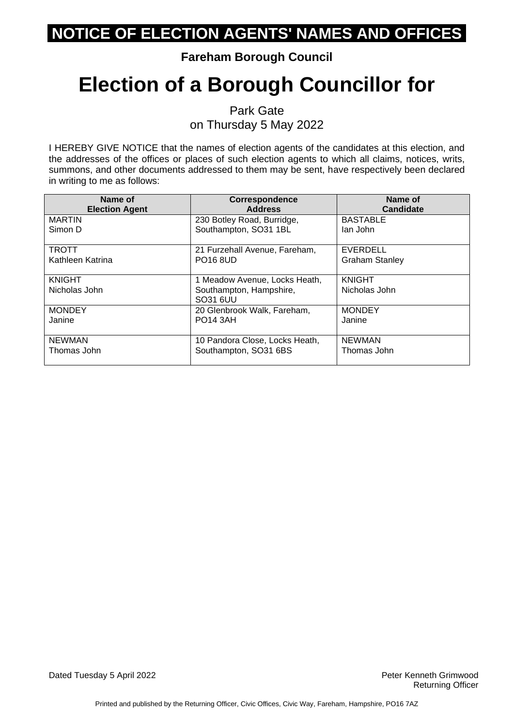### **Fareham Borough Council**

# **Election of a Borough Councillor for**

Park Gate on Thursday 5 May 2022

I HEREBY GIVE NOTICE that the names of election agents of the candidates at this election, and the addresses of the offices or places of such election agents to which all claims, notices, writs, summons, and other documents addressed to them may be sent, have respectively been declared in writing to me as follows:

| Name of<br><b>Election Agent</b> | <b>Correspondence</b><br><b>Address</b> | Name of<br><b>Candidate</b> |
|----------------------------------|-----------------------------------------|-----------------------------|
| <b>MARTIN</b>                    | 230 Botley Road, Burridge,              | <b>BASTABLE</b>             |
| Simon D                          | Southampton, SO31 1BL                   | lan John                    |
| <b>TROTT</b>                     | 21 Furzehall Avenue, Fareham,           | EVERDELL                    |
| Kathleen Katrina                 | <b>PO16 8UD</b>                         | <b>Graham Stanley</b>       |
| <b>KNIGHT</b>                    | 1 Meadow Avenue, Locks Heath,           | <b>KNIGHT</b>               |
| Nicholas John                    | Southampton, Hampshire,<br>SO31 6UU     | Nicholas John               |
| <b>MONDEY</b>                    | 20 Glenbrook Walk, Fareham,             | <b>MONDEY</b>               |
| Janine                           | <b>PO14 3AH</b>                         | Janine                      |
| <b>NEWMAN</b>                    | 10 Pandora Close, Locks Heath,          | <b>NEWMAN</b>               |
| Thomas John                      | Southampton, SO31 6BS                   | Thomas John                 |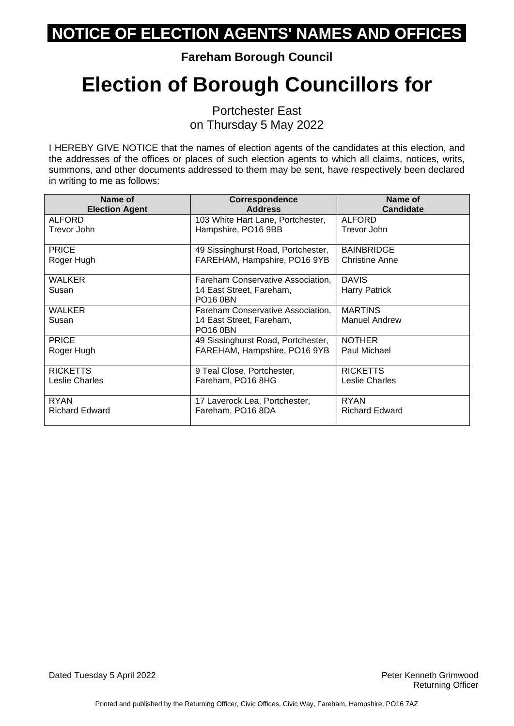**Fareham Borough Council**

# **Election of Borough Councillors for**

Portchester East on Thursday 5 May 2022

I HEREBY GIVE NOTICE that the names of election agents of the candidates at this election, and the addresses of the offices or places of such election agents to which all claims, notices, writs, summons, and other documents addressed to them may be sent, have respectively been declared in writing to me as follows:

| Name of               | <b>Correspondence</b>                       | Name of               |
|-----------------------|---------------------------------------------|-----------------------|
| <b>Election Agent</b> | <b>Address</b>                              | <b>Candidate</b>      |
| <b>ALFORD</b>         | 103 White Hart Lane, Portchester,           | ALFORD                |
| Trevor John           | Hampshire, PO16 9BB                         | Trevor John           |
| <b>PRICE</b>          | 49 Sissinghurst Road, Portchester,          | <b>BAINBRIDGE</b>     |
| Roger Hugh            | FAREHAM, Hampshire, PO16 9YB                | <b>Christine Anne</b> |
| WALKER                | Fareham Conservative Association,           | <b>DAVIS</b>          |
| Susan                 | 14 East Street, Fareham,<br><b>PO16 0BN</b> | <b>Harry Patrick</b>  |
| <b>WALKER</b>         | Fareham Conservative Association.           | <b>MARTINS</b>        |
| Susan                 | 14 East Street, Fareham,<br><b>PO16 0BN</b> | <b>Manuel Andrew</b>  |
| <b>PRICE</b>          | 49 Sissinghurst Road, Portchester,          | <b>NOTHER</b>         |
| Roger Hugh            | FAREHAM, Hampshire, PO16 9YB                | Paul Michael          |
| <b>RICKETTS</b>       | 9 Teal Close, Portchester,                  | <b>RICKETTS</b>       |
| Leslie Charles        | Fareham, PO16 8HG                           | Leslie Charles        |
| <b>RYAN</b>           | 17 Laverock Lea, Portchester,               | <b>RYAN</b>           |
| <b>Richard Edward</b> | Fareham, PO16 8DA                           | <b>Richard Edward</b> |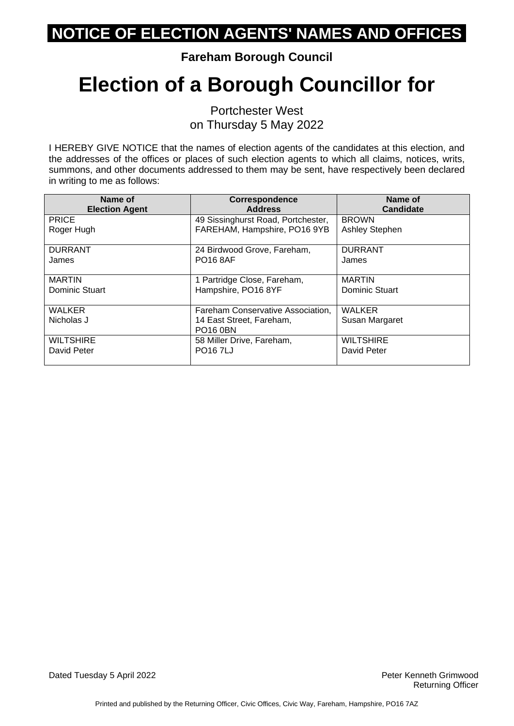**Fareham Borough Council**

# **Election of a Borough Councillor for**

Portchester West on Thursday 5 May 2022

I HEREBY GIVE NOTICE that the names of election agents of the candidates at this election, and the addresses of the offices or places of such election agents to which all claims, notices, writs, summons, and other documents addressed to them may be sent, have respectively been declared in writing to me as follows:

| Name of<br><b>Election Agent</b> | <b>Correspondence</b><br><b>Address</b>                            | Name of<br>Candidate  |
|----------------------------------|--------------------------------------------------------------------|-----------------------|
| <b>PRICE</b>                     | 49 Sissinghurst Road, Portchester,<br>FAREHAM, Hampshire, PO16 9YB | <b>BROWN</b>          |
| Roger Hugh                       |                                                                    | <b>Ashley Stephen</b> |
| <b>DURRANT</b>                   | 24 Birdwood Grove, Fareham,                                        | <b>DURRANT</b>        |
| James                            | <b>PO16 8AF</b>                                                    | James                 |
| <b>MARTIN</b>                    | 1 Partridge Close, Fareham,                                        | <b>MARTIN</b>         |
| Dominic Stuart                   | Hampshire, PO16 8YF                                                | Dominic Stuart        |
| <b>WALKER</b>                    | Fareham Conservative Association,                                  | <b>WALKER</b>         |
| Nicholas J                       | 14 East Street, Fareham,<br><b>PO16 0BN</b>                        | Susan Margaret        |
| <b>WILTSHIRE</b>                 | 58 Miller Drive, Fareham,                                          | <b>WILTSHIRE</b>      |
| David Peter                      | <b>PO167LJ</b>                                                     | David Peter           |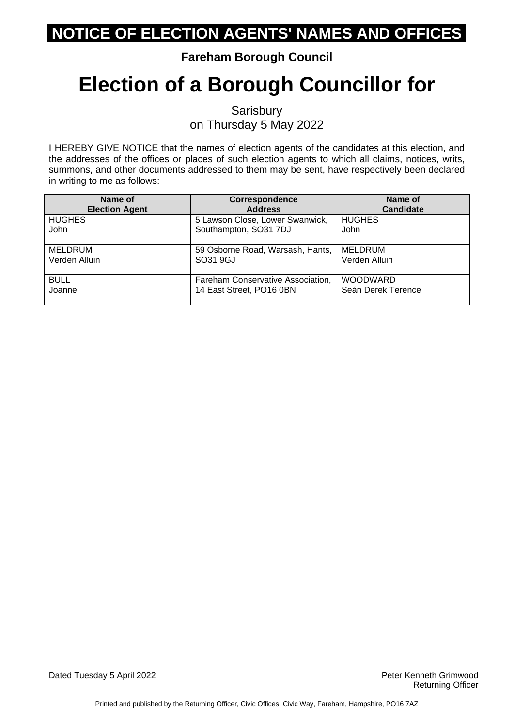### **Fareham Borough Council**

# **Election of a Borough Councillor for**

**Sarisbury** on Thursday 5 May 2022

I HEREBY GIVE NOTICE that the names of election agents of the candidates at this election, and the addresses of the offices or places of such election agents to which all claims, notices, writs, summons, and other documents addressed to them may be sent, have respectively been declared in writing to me as follows:

| Name of               | <b>Correspondence</b>             | Name of            |
|-----------------------|-----------------------------------|--------------------|
| <b>Election Agent</b> | <b>Address</b>                    | <b>Candidate</b>   |
| <b>HUGHES</b>         | 5 Lawson Close, Lower Swanwick,   | <b>HUGHES</b>      |
| John                  | Southampton, SO31 7DJ             | John               |
| MELDRUM               | 59 Osborne Road, Warsash, Hants,  | MELDRUM            |
| Verden Alluin         | SO31 9GJ                          | Verden Alluin      |
| <b>BULL</b>           | Fareham Conservative Association, | <b>WOODWARD</b>    |
| Joanne                | 14 East Street, PO16 0BN          | Seán Derek Terence |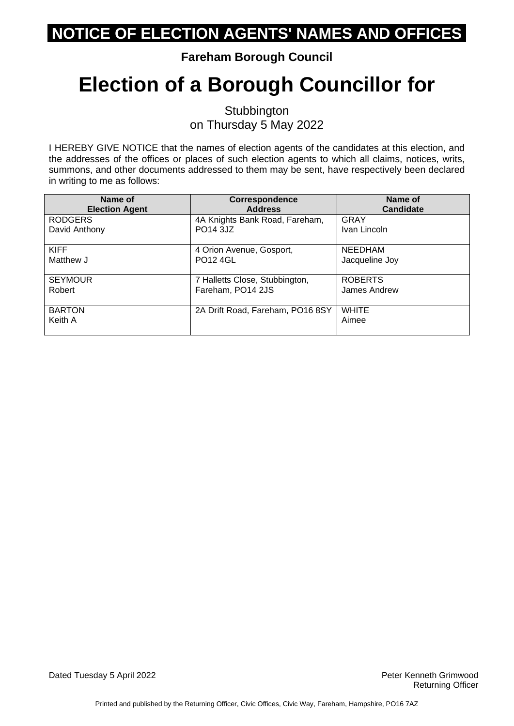### **Fareham Borough Council**

# **Election of a Borough Councillor for**

**Stubbington** on Thursday 5 May 2022

I HEREBY GIVE NOTICE that the names of election agents of the candidates at this election, and the addresses of the offices or places of such election agents to which all claims, notices, writs, summons, and other documents addressed to them may be sent, have respectively been declared in writing to me as follows:

| Name of                  | <b>Correspondence</b>            | Name of               |
|--------------------------|----------------------------------|-----------------------|
| <b>Election Agent</b>    | <b>Address</b>                   | Candidate             |
| <b>RODGERS</b>           | 4A Knights Bank Road, Fareham,   | GRAY                  |
| David Anthony            | PO14 3JZ                         | Ivan Lincoln          |
| <b>KIFF</b>              | 4 Orion Avenue, Gosport,         | <b>NEEDHAM</b>        |
| Matthew J                | <b>PO12 4GL</b>                  | Jacqueline Joy        |
| <b>SEYMOUR</b>           | 7 Halletts Close, Stubbington,   | <b>ROBERTS</b>        |
| Robert                   | Fareham, PO14 2JS                | James Andrew          |
| <b>BARTON</b><br>Keith A | 2A Drift Road, Fareham, PO16 8SY | <b>WHITE</b><br>Aimee |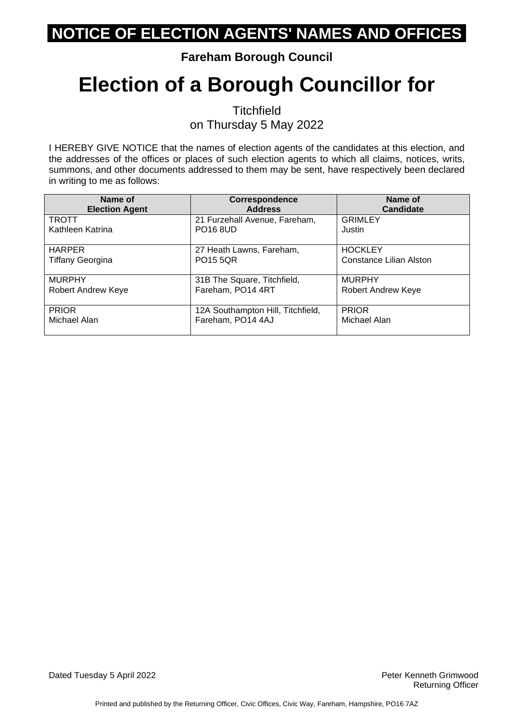### **Fareham Borough Council**

# **Election of a Borough Councillor for**

**Titchfield** on Thursday 5 May 2022

I HEREBY GIVE NOTICE that the names of election agents of the candidates at this election, and the addresses of the offices or places of such election agents to which all claims, notices, writs, summons, and other documents addressed to them may be sent, have respectively been declared in writing to me as follows:

| Name of                 | <b>Correspondence</b>             | Name of                 |
|-------------------------|-----------------------------------|-------------------------|
| <b>Election Agent</b>   | <b>Address</b>                    | <b>Candidate</b>        |
| <b>TROTT</b>            | 21 Furzehall Avenue, Fareham,     | <b>GRIMLEY</b>          |
| Kathleen Katrina        | <b>PO16 8UD</b>                   | Justin                  |
| <b>HARPER</b>           | 27 Heath Lawns, Fareham,          | <b>HOCKLEY</b>          |
| <b>Tiffany Georgina</b> | <b>PO15 5QR</b>                   | Constance Lilian Alston |
| <b>MURPHY</b>           | 31B The Square, Titchfield,       | <b>MURPHY</b>           |
| Robert Andrew Keye      | Fareham, PO14 4RT                 | Robert Andrew Keye      |
| <b>PRIOR</b>            | 12A Southampton Hill, Titchfield, | <b>PRIOR</b>            |
| Michael Alan            | Fareham, PO14 4AJ                 | Michael Alan            |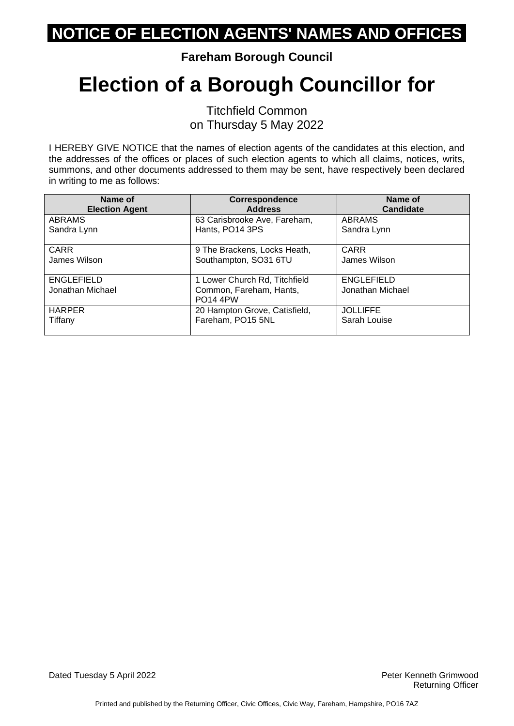**Fareham Borough Council**

# **Election of a Borough Councillor for**

Titchfield Common on Thursday 5 May 2022

I HEREBY GIVE NOTICE that the names of election agents of the candidates at this election, and the addresses of the offices or places of such election agents to which all claims, notices, writs, summons, and other documents addressed to them may be sent, have respectively been declared in writing to me as follows:

| Name of                               | <b>Correspondence</b>                                                       | Name of                               |
|---------------------------------------|-----------------------------------------------------------------------------|---------------------------------------|
| <b>Election Agent</b>                 | <b>Address</b>                                                              | Candidate                             |
| ABRAMS                                | 63 Carisbrooke Ave, Fareham,                                                | <b>ABRAMS</b>                         |
| Sandra Lynn                           | Hants, PO14 3PS                                                             | Sandra Lynn                           |
| <b>CARR</b>                           | 9 The Brackens, Locks Heath,                                                | <b>CARR</b>                           |
| James Wilson                          | Southampton, SO31 6TU                                                       | James Wilson                          |
| <b>ENGLEFIELD</b><br>Jonathan Michael | 1 Lower Church Rd, Titchfield<br>Common, Fareham, Hants,<br><b>PO14 4PW</b> | <b>ENGLEFIELD</b><br>Jonathan Michael |
| <b>HARPER</b>                         | 20 Hampton Grove, Catisfield,                                               | <b>JOLLIFFE</b>                       |
| Tiffany                               | Fareham, PO15 5NL                                                           | Sarah Louise                          |